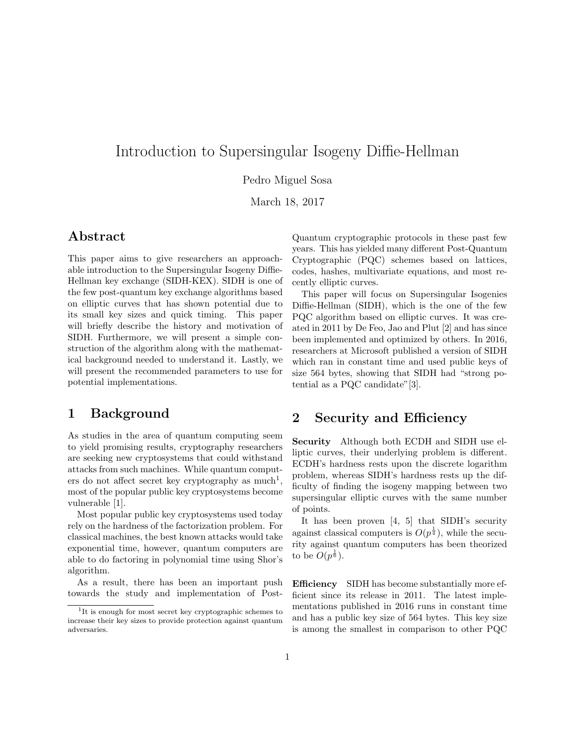# Introduction to Supersingular Isogeny Diffie-Hellman

Pedro Miguel Sosa

March 18, 2017

## Abstract

This paper aims to give researchers an approachable introduction to the Supersingular Isogeny Diffie-Hellman key exchange (SIDH-KEX). SIDH is one of the few post-quantum key exchange algorithms based on elliptic curves that has shown potential due to its small key sizes and quick timing. This paper will briefly describe the history and motivation of SIDH. Furthermore, we will present a simple construction of the algorithm along with the mathematical background needed to understand it. Lastly, we will present the recommended parameters to use for potential implementations.

## 1 Background

As studies in the area of quantum computing seem to yield promising results, cryptography researchers are seeking new cryptosystems that could withstand attacks from such machines. While quantum computers do not affect secret key cryptography as  $much<sup>1</sup>$ , most of the popular public key cryptosystems become vulnerable [1].

Most popular public key cryptosystems used today rely on the hardness of the factorization problem. For classical machines, the best known attacks would take exponential time, however, quantum computers are able to do factoring in polynomial time using Shor's algorithm.

As a result, there has been an important push towards the study and implementation of PostQuantum cryptographic protocols in these past few years. This has yielded many different Post-Quantum Cryptographic (PQC) schemes based on lattices, codes, hashes, multivariate equations, and most recently elliptic curves.

This paper will focus on Supersingular Isogenies Diffie-Hellman (SIDH), which is the one of the few PQC algorithm based on elliptic curves. It was created in 2011 by De Feo, Jao and Plut [2] and has since been implemented and optimized by others. In 2016, researchers at Microsoft published a version of SIDH which ran in constant time and used public keys of size 564 bytes, showing that SIDH had "strong potential as a PQC candidate"[3].

# 2 Security and Efficiency

Security Although both ECDH and SIDH use elliptic curves, their underlying problem is different. ECDH's hardness rests upon the discrete logarithm problem, whereas SIDH's hardness rests up the difficulty of finding the isogeny mapping between two supersingular elliptic curves with the same number of points.

It has been proven [4, 5] that SIDH's security against classical computers is  $O(p^{\frac{1}{4}})$ , while the security against quantum computers has been theorized to be  $O(p^{\frac{1}{6}})$ .

Efficiency SIDH has become substantially more efficient since its release in 2011. The latest implementations published in 2016 runs in constant time and has a public key size of 564 bytes. This key size is among the smallest in comparison to other PQC

<sup>&</sup>lt;sup>1</sup>It is enough for most secret key cryptographic schemes to increase their key sizes to provide protection against quantum adversaries.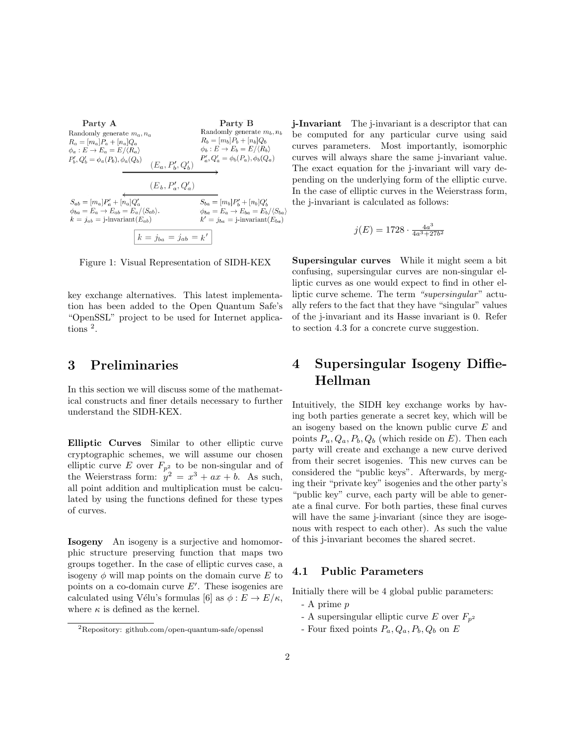Party A Party B Randomly generate  $m_b, n_b$ Randomly generate  $m_a, n_a$  $\mathcal{R}_b=[\mathcal{m}_b]P_b+[\mathcal{n}_b]Q_b$  $R_a = [m_a]P_a + [n_a]Q_a$  $\phi_b : E \to E_b = E / \langle R_b \rangle$  $\phi_a : E \to E_a = E / \langle R_a \rangle$  $P_b^\prime, Q_b^\prime = \phi_a(P_b), \phi_a(Q_b)$  $P'_a, Q'_a = \phi_b(P_a), \phi_b(Q_a)$  $(E_a, P'_b, Q'_b)$  $(E_b, P_a', Q_a')$  $S_{ab} = [m_a]P'_a + [n_a]Q'_a$  $S_{ba} = [m_b]P'_b + [n_b]Q'_b$  $\phi_{ba} = E_a \rightarrow E_{ab} = E_a/\langle S_{ab} \rangle.$  $\phi_{ba} = E_a \rightarrow E_{ba} = E_b/\langle S_{ba} \rangle$  $k = j_{ab} = j$ -invariant $(E_{ab})$  $k' = j_{ba} = j\text{-invariant}(E_{ba})$  $k = j_{ba} = j_{ab} = k'$ 

Figure 1: Visual Representation of SIDH-KEX

key exchange alternatives. This latest implementation has been added to the Open Quantum Safe's "OpenSSL" project to be used for Internet applications <sup>2</sup> .

### 3 Preliminaries

In this section we will discuss some of the mathematical constructs and finer details necessary to further understand the SIDH-KEX.

Elliptic Curves Similar to other elliptic curve cryptographic schemes, we will assume our chosen elliptic curve E over  $F_{p^2}$  to be non-singular and of the Weierstrass form:  $y^2 = x^3 + ax + b$ . As such, all point addition and multiplication must be calculated by using the functions defined for these types of curves.

Isogeny An isogeny is a surjective and homomorphic structure preserving function that maps two groups together. In the case of elliptic curves case, a isogeny  $\phi$  will map points on the domain curve E to points on a co-domain curve  $E'$ . These isogenies are calculated using Vélu's formulas [6] as  $\phi : E \to E/\kappa$ , where  $\kappa$  is defined as the kernel.

j-Invariant The j-invariant is a descriptor that can be computed for any particular curve using said curves parameters. Most importantly, isomorphic curves will always share the same j-invariant value. The exact equation for the j-invariant will vary depending on the underlying form of the elliptic curve. In the case of elliptic curves in the Weierstrass form, the j-invariant is calculated as follows:

$$
j(E) = 1728 \cdot \frac{4a^3}{4a^3 + 27b^2}
$$

Supersingular curves While it might seem a bit confusing, supersingular curves are non-singular elliptic curves as one would expect to find in other elliptic curve scheme. The term "supersingular" actually refers to the fact that they have "singular" values of the j-invariant and its Hasse invariant is 0. Refer to section 4.3 for a concrete curve suggestion.

# 4 Supersingular Isogeny Diffie-Hellman

Intuitively, the SIDH key exchange works by having both parties generate a secret key, which will be an isogeny based on the known public curve E and points  $P_a, Q_a, P_b, Q_b$  (which reside on E). Then each party will create and exchange a new curve derived from their secret isogenies. This new curves can be considered the "public keys". Afterwards, by merging their "private key" isogenies and the other party's "public key" curve, each party will be able to generate a final curve. For both parties, these final curves will have the same j-invariant (since they are isogenous with respect to each other). As such the value of this j-invariant becomes the shared secret.

#### 4.1 Public Parameters

Initially there will be 4 global public parameters:

- A prime p
- A supersingular elliptic curve E over  $F_{n^2}$
- Four fixed points  $P_a, Q_a, P_b, Q_b$  on E

<sup>2</sup>Repository: github.com/open-quantum-safe/openssl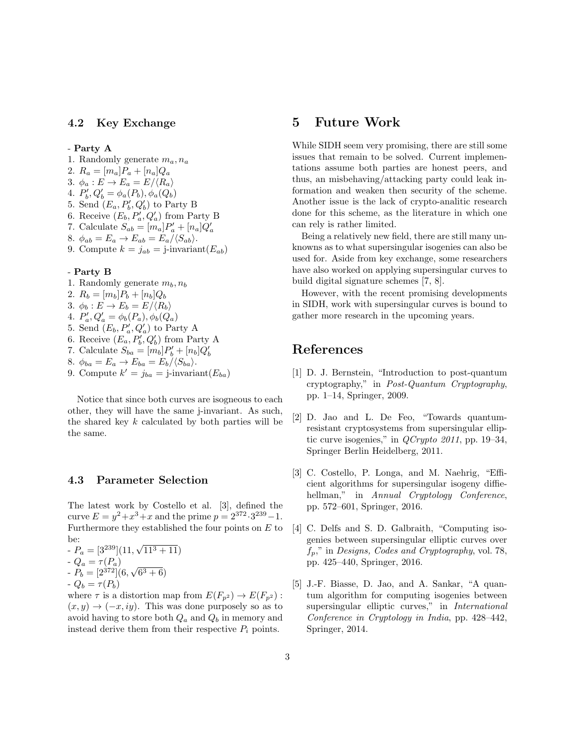#### 4.2 Key Exchange

#### - Party A

- 1. Randomly generate  $m_a, n_a$
- 2.  $R_a = [m_a]P_a + [n_a]Q_a$
- 3.  $\phi_a : E \to E_a = E / \langle R_a \rangle$
- 4.  $P'_{b}, Q'_{b} = \phi_{a}(P_{b}), \phi_{a}(Q_{b})$
- 5. Send  $(E_a, P'_b, Q'_b)$  to Party B
- 6. Receive  $(E_b, P_a', Q_a')$  from Party B
- 7. Calculate  $S_{ab} = [m_a]P'_a + [n_a]Q'_a$
- 8.  $\phi_{ab} = E_a \rightarrow E_{ab} = E_a/\langle S_{ab} \rangle.$
- 9. Compute  $k = j_{ab} = j$ -invariant $(E_{ab})$

#### - Party B

- 1. Randomly generate  $m_b, n_b$ 2.  $R_b = [m_b]P_b + [n_b]Q_b$
- 3.  $\phi_b : E \to E_b = E / \langle R_b \rangle$
- 4.  $P'_a, Q'_a = \phi_b(P_a), \phi_b(Q_a)$
- 5. Send  $(E_b, P_a, Q_a)$  to Party A
- 6. Receive  $(E_a, P'_b, Q'_b)$  from Party A
- 7. Calculate  $S_{ba} = [m_b]P'_b + [n_b]Q'_b$
- 8.  $\phi_{ba} = E_a \rightarrow E_{ba} = E_b / \langle S_{ba} \rangle$ .
- 9. Compute  $k' = j_{ba} = j$ -invariant $(E_{ba})$

Notice that since both curves are isogneous to each other, they will have the same j-invariant. As such, the shared key  $k$  calculated by both parties will be the same.

#### 4.3 Parameter Selection

The latest work by Costello et al. [3], defined the curve  $E = y^2 + x^3 + x$  and the prime  $p = 2^{372} \cdot 3^{239} - 1$ . Furthermore they established the four points on  $E$  to be:

be:<br>-  $P_a = [3^{239}](11, \sqrt{11^3 + 11})$ -  $Q_a = \tau(P_a)$ -  $Q_a = \tau(P_a)$ <br>-  $P_b = [2^{372}](6, \sqrt{ } )$  $(6^3 + 6)$ -  $Q_b = \tau(P_b)$ 

where  $\tau$  is a distortion map from  $E(F_{p^2}) \to E(F_{p^2})$ :  $(x, y) \rightarrow (-x, iy)$ . This was done purposely so as to avoid having to store both  $Q_a$  and  $Q_b$  in memory and instead derive them from their respective  $P_i$  points.

### 5 Future Work

While SIDH seem very promising, there are still some issues that remain to be solved. Current implementations assume both parties are honest peers, and thus, an misbehaving/attacking party could leak information and weaken then security of the scheme. Another issue is the lack of crypto-analitic research done for this scheme, as the literature in which one can rely is rather limited.

Being a relatively new field, there are still many unknowns as to what supersingular isogenies can also be used for. Aside from key exchange, some researchers have also worked on applying supersingular curves to build digital signature schemes [7, 8].

However, with the recent promising developments in SIDH, work with supersingular curves is bound to gather more research in the upcoming years.

### References

- [1] D. J. Bernstein, "Introduction to post-quantum cryptography," in Post-Quantum Cryptography, pp. 1–14, Springer, 2009.
- [2] D. Jao and L. De Feo, "Towards quantumresistant cryptosystems from supersingular elliptic curve isogenies," in  $QCrypto 2011$ , pp. 19–34, Springer Berlin Heidelberg, 2011.
- [3] C. Costello, P. Longa, and M. Naehrig, "Efficient algorithms for supersingular isogeny diffiehellman," in Annual Cryptology Conference, pp. 572–601, Springer, 2016.
- [4] C. Delfs and S. D. Galbraith, "Computing isogenies between supersingular elliptic curves over  $f_p$ ," in Designs, Codes and Cryptography, vol. 78, pp. 425–440, Springer, 2016.
- [5] J.-F. Biasse, D. Jao, and A. Sankar, "A quantum algorithm for computing isogenies between supersingular elliptic curves," in International Conference in Cryptology in India, pp. 428–442, Springer, 2014.